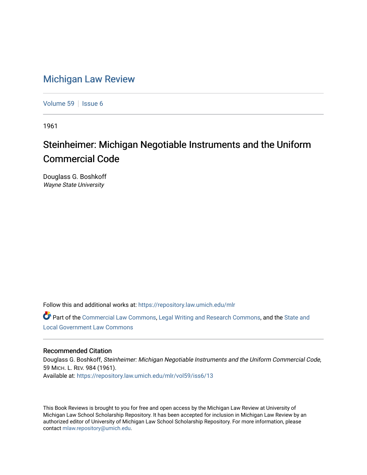## [Michigan Law Review](https://repository.law.umich.edu/mlr)

[Volume 59](https://repository.law.umich.edu/mlr/vol59) | [Issue 6](https://repository.law.umich.edu/mlr/vol59/iss6)

1961

## Steinheimer: Michigan Negotiable Instruments and the Uniform Commercial Code

Douglass G. Boshkoff Wayne State University

Follow this and additional works at: [https://repository.law.umich.edu/mlr](https://repository.law.umich.edu/mlr?utm_source=repository.law.umich.edu%2Fmlr%2Fvol59%2Fiss6%2F13&utm_medium=PDF&utm_campaign=PDFCoverPages) 

Part of the [Commercial Law Commons](http://network.bepress.com/hgg/discipline/586?utm_source=repository.law.umich.edu%2Fmlr%2Fvol59%2Fiss6%2F13&utm_medium=PDF&utm_campaign=PDFCoverPages), [Legal Writing and Research Commons](http://network.bepress.com/hgg/discipline/614?utm_source=repository.law.umich.edu%2Fmlr%2Fvol59%2Fiss6%2F13&utm_medium=PDF&utm_campaign=PDFCoverPages), and the [State and](http://network.bepress.com/hgg/discipline/879?utm_source=repository.law.umich.edu%2Fmlr%2Fvol59%2Fiss6%2F13&utm_medium=PDF&utm_campaign=PDFCoverPages)  [Local Government Law Commons](http://network.bepress.com/hgg/discipline/879?utm_source=repository.law.umich.edu%2Fmlr%2Fvol59%2Fiss6%2F13&utm_medium=PDF&utm_campaign=PDFCoverPages)

## Recommended Citation

Douglass G. Boshkoff, Steinheimer: Michigan Negotiable Instruments and the Uniform Commercial Code, 59 MICH. L. REV. 984 (1961). Available at: [https://repository.law.umich.edu/mlr/vol59/iss6/13](https://repository.law.umich.edu/mlr/vol59/iss6/13?utm_source=repository.law.umich.edu%2Fmlr%2Fvol59%2Fiss6%2F13&utm_medium=PDF&utm_campaign=PDFCoverPages) 

This Book Reviews is brought to you for free and open access by the Michigan Law Review at University of Michigan Law School Scholarship Repository. It has been accepted for inclusion in Michigan Law Review by an authorized editor of University of Michigan Law School Scholarship Repository. For more information, please contact [mlaw.repository@umich.edu](mailto:mlaw.repository@umich.edu).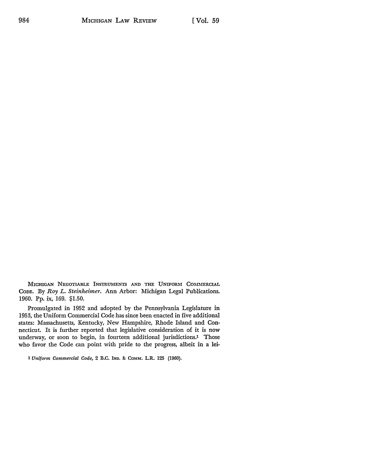MICHIGAN NEGOTIABLE INSTRUMENTS AND THE UNIFORM COMMERCIAL CODE. By *Roy L. Steinheimer.* Ann Arbor: Michigan Legal Publications. 1960. Pp. ix, 169. \$1.50.

Promulgated in 1952 and adopted by the Pennsylvania Legislature in 1953, the Uniform Commercial Code has since been enacted in five additional states: Massachusetts, Kentucky, New Hampshire, Rhode Island and Connecticut. It is further reported that legislative consideration of it is now underway, or soon to begin, in fourteen additional jurisdictions.1 Those who favor the Code can point with pride to the progress, albeit in a lei-

1 *Uniform Commercial Code,* 2 B.C. IND. &: CoMM. L.R. 125 (1960).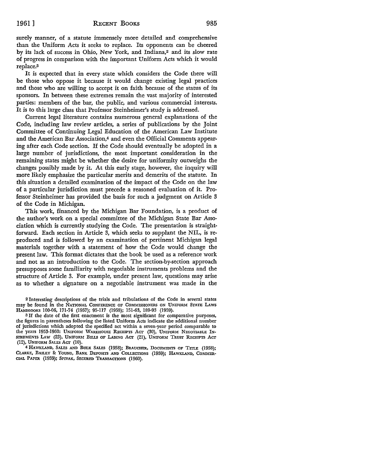surely manner, of a statute immensely more detailed and comprehensive than the Uniform Acts it seeks to replace. Its opponents can be cheered by its lack of success in Ohio, New York, and Indiana,2 and its slow rate of progress in comparison with the important Uniform Acts which it would replace.<sup>3</sup>

It is expected that in every state which considers the Code there will be those who oppose it because it would change existing legal practices and those who are willing to accept it on faith because of the status of its sponsors. In between these extremes remain the vast majority of interested parties: members of the bar, the public, and various commercial interests. It is *to* this large class that Professor Steinheimer's study is addressed.

Current legal literature contains numerous general explanations of the Code, including law review articles, a series of publications by the Joint Committee of Continuing Legal Education of the American Law Institute and the American Bar Association,<sup>4</sup> and even the Official Comments appearing after each Code section. If the Code should eventually be adopted in a large number of jurisdictions, the most important consideration in the remaining states might be whether the desire for uniformity outweighs the changes possibly made by it. At this early stage, however, the inquiry will more likely emphasize the particular merits and demerits of the statute. In this situation a detailed examination of the impact of the Code on the law of a particular jurisdiction must precede a reasoned evaluation of it. Professor Steinheimer has provided the basis for such a judgment on Article 3 of the Code in Michigan.

This work, financed by the Michigan Bar Foundation, is a product of the author's work on a special committee of the Michigan State Bar Association which is currently studying the Code. The presentation is straightforward. Each section in Article 3, which seeks to supplant the NIL, is reproduced and is followed by an examination of pertinent Michigan legal materials together with a statement of how the Code would change the present law. This format dictates that the book be used as a reference work and not as an introduction to the Code. The section-by-section approach presupposes some familiarity with negotiable instruments problems and the structure of Article 3. For example, under present law, questions may arise as *to* whether a signature on a negotiable instrument was made in the

2 Interesting descriptions of the trials and tribulations of the Code in several states may be found in the NATIONAL CONFERENCE OF COMMISSIONERS ON UNIFORM STATE LAWS HANDBOOKS 100-06, 171-74 (1957); 95-ll7 (1958); 151-63, 189-93 (1959).

3 If the date of the first enactment is the most significant for comparative purposes, the figures in parentheses following the listed Uniform Acts indicate the additional number of jurisdictions which adopted the specified act within a seven-year period comparable to the years 1953-1960: UNIFORM WAREHOUSE RECEIPTS ACT (30), UNIFORM NEGOTIABLE IN-STRUMENTS LAW (23), UNIFORM BILLS OF LADING ACT (21), UNIFORM TRUST RECEIPTS ACT (12), UNIFORM SALES ACT (10).

<sup>4</sup> HAWKLAND, SALES AND BULK SALES (1958); BRAUCHER, DOCUMENTS OF TITLE (1958); CLARKE, BAILEY & YOUNG, BANK DEPOSITS AND COLLECTIONS (1959); HAWKLAND, COMMER-CIAL PAPER (1959); SPIVAK, SECURED TRANSACTIONS (1960).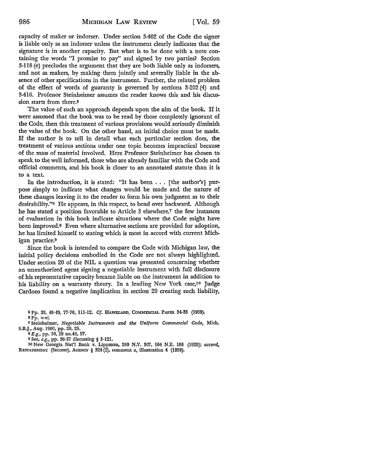capacity of maker or indorser. Under section 3-402 of the Code the signer is liable only as an indorser unless the instrument clearly indicates that the signature is in another capacity. But what is to be done with a note containing the words "I promise to pay" and signed by two parties? Section 3-ll8 (e) precludes the argument that they are both liable only as indorsers, and not as makers, by making them jointly and severally liable in the absence of other specifications in the instrument. Further, the related problem of the effect of words of guaranty is governed by sections 3-202 (4) and 3-416. Professor Steinheimer assumes the reader knows this and his discussion starts from there.<sup>5</sup>

The value of such an approach depends upon the aim of the book. If it were assumed that the book was to be read by those completely ignorant of the Code, then this treatment of various provisions would seriously diminish the value of the book. On the other hand, an initial choice must be made. If the author is to tell in detail what each particular section does, the treatment of various sections under one topic becomes impractical because of the mass of material involved. Here Professor Steinheimer has chosen to speak to the well informed, those who are already familiar with the Code and official comments, and his book is closer to an annotated statute than it is to a text.

In the introduction, it is stated: "It has been  $\dots$  [the author's] purpose simply to indicate what changes would be made and the nature of these changes leaving it to the reader to form his own judgment as to their desirability."6 He appears, in this respect, to bend over backward. Although he has stated a position favorable to Article  $3$  elsewhere, $7$  the few instances of evaluation in this book indicate situations where the Code might have been improved.<sup>8</sup> Even where alternative sections are provided for adoption, he has limited himself to stating which is most in accord with current Michigan practice.9

Since the book is intended to compare the Code with Michigan law, the initial policy decisions embodied in the Code are not always highlighted. Under section 20 of the NIL a question was presented concerning whether an unauthorized agent signing a negotiable instrument with full disclosure of his representative capacity became liable on the instrument in addition to his liability on a warranty theory. In a leading New York case,10 Judge Cardozo found a negative implication in section 20 creating such liability,

9 See, *e.g.,* pp. 36-37 discussing § 3-121.

<sup>5</sup>Pp. 33, 48-49, 77-78, 111-12. *Cf.* HAWXLAND, COMMERCIAL PAPER 34-35 (1959). 6Pp. v-vi.

<sup>7</sup> Steinheimer, *Negotiable Instruments and the Uniform Commercial Code,* Mich. S.B.J., Aug. 1960, pp. 20, 25.

<sup>8</sup> E.g., pp. IO, 29 nn.46, 57.

lONew Georgia Nat'! Bank v. Lippman, 249 N.Y. 307, 164 N.E. 108 (1928); *accord,*  RESTATEMENT (SECOND), AGENCY § 324(2), comment *a*, illustration 4 (1958).